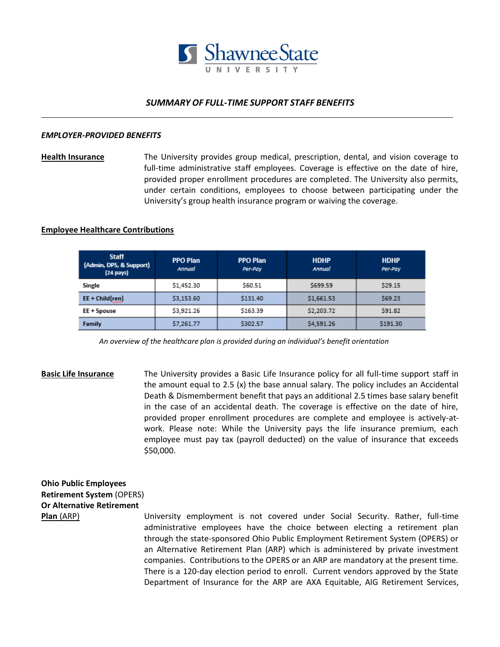

### *SUMMARY OF FULL-TIME SUPPORT STAFF BENEFITS*

#### *EMPLOYER-PROVIDED BENEFITS*

**Health Insurance** The University provides group medical, prescription, dental, and vision coverage to full-time administrative staff employees. Coverage is effective on the date of hire, provided proper enrollment procedures are completed. The University also permits, under certain conditions, employees to choose between participating under the University's group health insurance program or waiving the coverage.

### **Employee Healthcare Contributions**

|  | <b>Staff</b><br>(Admin, DPS, & Support)<br>$(24 \text{ pays})$ | <b>PPO Plan</b><br>Annual | <b>PPO Plan</b><br>Per-Pay | <b>HDHP</b><br>Annual | <b>HDHP</b><br>Per-Pay |
|--|----------------------------------------------------------------|---------------------------|----------------------------|-----------------------|------------------------|
|  | Single                                                         | \$1,452.30                | \$60.51                    | \$699.59              | \$29.15                |
|  | EE + Child(ren)                                                | \$3,153.60                | \$131.40                   | \$1,661.53            | \$69.23                |
|  | EE + Spouse                                                    | \$3,921.26                | \$163.39                   | \$2,203.72            | \$91.82                |
|  | Family                                                         | \$7.261.77                | \$302.57                   | \$4,591.26            | \$191.30               |

 *An overview of the healthcare plan is provided during an individual's benefit orientation*

**Basic Life Insurance** The University provides a Basic Life Insurance policy for all full-time support staff in the amount equal to 2.5 (x) the base annual salary. The policy includes an Accidental Death & Dismemberment benefit that pays an additional 2.5 times base salary benefit in the case of an accidental death. The coverage is effective on the date of hire, provided proper enrollment procedures are complete and employee is actively-atwork. Please note: While the University pays the life insurance premium, each employee must pay tax (payroll deducted) on the value of insurance that exceeds \$50,000.

## **Ohio Public Employees Retirement System** (OPERS) **Or Alternative Retirement**

**Plan** (ARP) University employment is not covered under Social Security. Rather, full-time administrative employees have the choice between electing a retirement plan through the state-sponsored Ohio Public Employment Retirement System (OPERS) or an Alternative Retirement Plan (ARP) which is administered by private investment companies. Contributions to the OPERS or an ARP are mandatory at the present time. There is a 120-day election period to enroll. Current vendors approved by the State Department of Insurance for the ARP are AXA Equitable, AIG Retirement Services,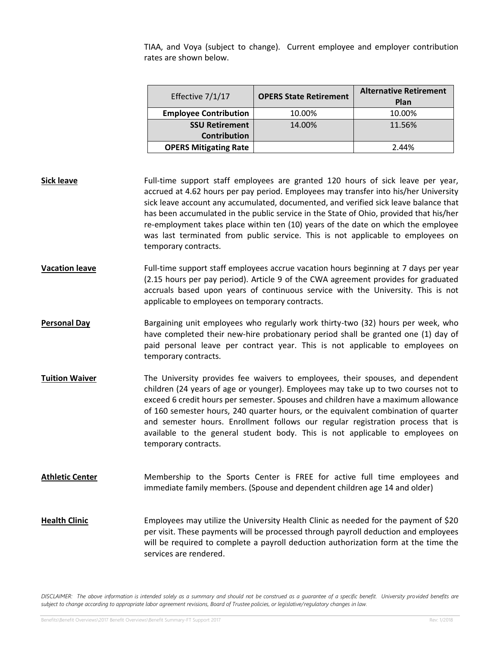TIAA, and Voya (subject to change). Current employee and employer contribution rates are shown below.

| Effective 7/1/17             | <b>OPERS State Retirement</b> | <b>Alternative Retirement</b><br>Plan |
|------------------------------|-------------------------------|---------------------------------------|
| <b>Employee Contribution</b> | 10.00%                        | 10.00%                                |
| <b>SSU Retirement</b>        | 14.00%                        | 11.56%                                |
| <b>Contribution</b>          |                               |                                       |
| <b>OPERS Mitigating Rate</b> |                               | 2.44%                                 |

- **Sick leave** Full-time support staff employees are granted 120 hours of sick leave per year, accrued at 4.62 hours per pay period. Employees may transfer into his/her University sick leave account any accumulated, documented, and verified sick leave balance that has been accumulated in the public service in the State of Ohio, provided that his/her re-employment takes place within ten (10) years of the date on which the employee was last terminated from public service. This is not applicable to employees on temporary contracts.
- **Vacation leave** Full-time support staff employees accrue vacation hours beginning at 7 days per year (2.15 hours per pay period). Article 9 of the CWA agreement provides for graduated accruals based upon years of continuous service with the University. This is not applicable to employees on temporary contracts.
- Personal Day **Bargaining unit employees who regularly work thirty-two (32) hours per week, who** have completed their new-hire probationary period shall be granted one (1) day of paid personal leave per contract year. This is not applicable to employees on temporary contracts.
- **Tuition Waiver** The University provides fee waivers to employees, their spouses, and dependent children (24 years of age or younger). Employees may take up to two courses not to exceed 6 credit hours per semester. Spouses and children have a maximum allowance of 160 semester hours, 240 quarter hours, or the equivalent combination of quarter and semester hours. Enrollment follows our regular registration process that is available to the general student body. This is not applicable to employees on temporary contracts.
- **Athletic Center** Membership to the Sports Center is FREE for active full time employees and immediate family members. (Spouse and dependent children age 14 and older)
- Health Clinic **Employees may utilize the University Health Clinic as needed for the payment of \$20** per visit. These payments will be processed through payroll deduction and employees will be required to complete a payroll deduction authorization form at the time the services are rendered.

*DISCLAIMER: The above information is intended solely as a summary and should not be construed as a guarantee of a specific benefit. University provided benefits are subject to change according to appropriate labor agreement revisions, Board of Trustee policies, or legislative/regulatory changes in law.*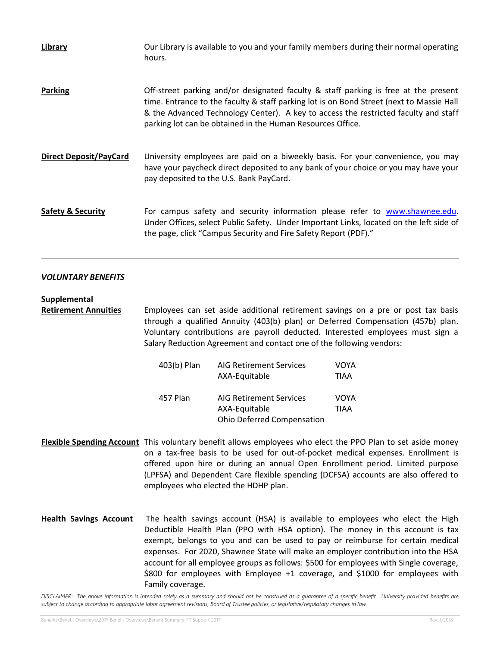| Library                       | Our Library is available to you and your family members during their normal operating<br>hours.                                                                                                                                                                                                                                      |
|-------------------------------|--------------------------------------------------------------------------------------------------------------------------------------------------------------------------------------------------------------------------------------------------------------------------------------------------------------------------------------|
| <b>Parking</b>                | Off-street parking and/or designated faculty & staff parking is free at the present<br>time. Entrance to the faculty & staff parking lot is on Bond Street (next to Massie Hall<br>& the Advanced Technology Center). A key to access the restricted faculty and staff<br>parking lot can be obtained in the Human Resources Office. |
| <b>Direct Deposit/PayCard</b> | University employees are paid on a biweekly basis. For your convenience, you may<br>have your paycheck direct deposited to any bank of your choice or you may have your<br>pay deposited to the U.S. Bank PayCard.                                                                                                                   |
| <b>Safety &amp; Security</b>  | For campus safety and security information please refer to www.shawnee.edu.<br>Under Offices, select Public Safety. Under Important Links, located on the left side of<br>the page, click "Campus Security and Fire Safety Report (PDF)."                                                                                            |

### *VOLUNTARY BENEFITS*

### **Supplemental**

**Retirement Annuities** Employees can set aside additional retirement savings on a pre or post tax basis through a qualified Annuity (403(b) plan) or Deferred Compensation (457b) plan. Voluntary contributions are payroll deducted. Interested employees must sign a Salary Reduction Agreement and contact one of the following vendors:

| 403(b) Plan<br><b>AIG Retirement Services</b> |                                   | VOYA        |
|-----------------------------------------------|-----------------------------------|-------------|
|                                               | AXA-Equitable                     | <b>TIAA</b> |
|                                               |                                   |             |
| 457 Plan                                      | <b>AIG Retirement Services</b>    | VOYA        |
|                                               | AXA-Equitable                     | <b>TIAA</b> |
|                                               | <b>Ohio Deferred Compensation</b> |             |

- **Flexible Spending Account** This voluntary benefit allows employees who elect the PPO Plan to set aside money on a tax-free basis to be used for out-of-pocket medical expenses. Enrollment is offered upon hire or during an annual Open Enrollment period. Limited purpose (LPFSA) and Dependent Care flexible spending (DCFSA) accounts are also offered to employees who elected the HDHP plan.
- **Health Savings Account** The health savings account (HSA) is available to employees who elect the High Deductible Health Plan (PPO with HSA option). The money in this account is tax exempt, belongs to you and can be used to pay or reimburse for certain medical expenses. For 2020, Shawnee State will make an employer contribution into the HSA account for all employee groups as follows: \$500 for employees with Single coverage, \$800 for employees with Employee +1 coverage, and \$1000 for employees with Family coverage.

*DISCLAIMER: The above information is intended solely as a summary and should not be construed as a guarantee of a specific benefit. University provided benefits are subject to change according to appropriate labor agreement revisions, Board of Trustee policies, or legislative/regulatory changes in law.*